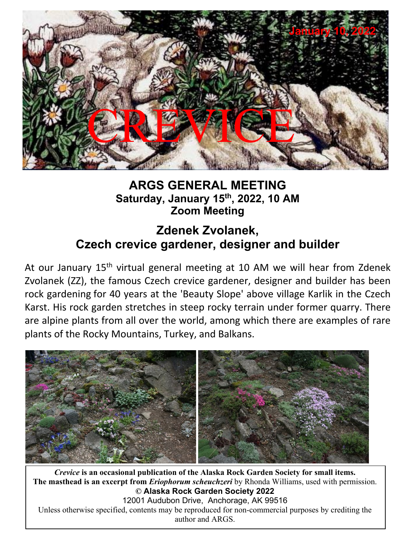

### **ARGS GENERAL MEETING Saturday, January 15th, 2022, 10 AM Zoom Meeting**

# **Zdenek Zvolanek, Czech crevice gardener, designer and builder**

At our January 15<sup>th</sup> virtual general meeting at 10 AM we will hear from Zdenek Zvolanek (ZZ), the famous Czech crevice gardener, designer and builder has been rock gardening for 40 years at the 'Beauty Slope' above village Karlik in the Czech Karst. His rock garden stretches in steep rocky terrain under former quarry. There are alpine plants from all over the world, among which there are examples of rare plants of the Rocky Mountains, Turkey, and Balkans.



*Crevice* **is an occasional publication of the Alaska Rock Garden Society for small items. The masthead is an except from** *Eriophorum scheuchzeri* by Rhonda Williams, used with permission. **The masthead is an excerpt from** *Eriophorum scheuchzeri* by Rhonda Williams, used with permission. *Crevice* **is an occasional publication of the Alaska Rock Garden Society for small items. © Alaska Rock Garden Society 2022** 12001 Audubon Drive, Anchorage, AK 99516 Unless otherwise specified, contents may be reproduced for non-commercial purposes by crediting the author and ARGS.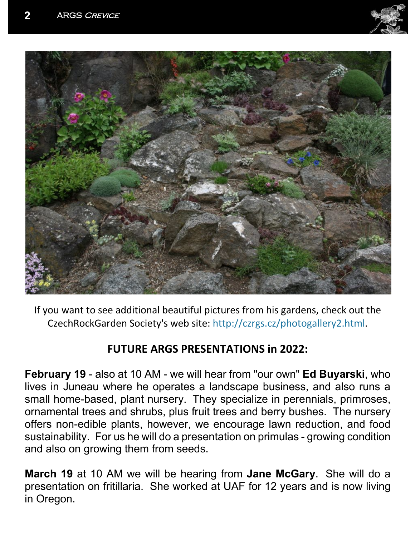



If you want to see additional beautiful pictures from his gardens, check out the CzechRockGarden Society's web site: http://czrgs.cz/photogallery2.html.

### **FUTURE ARGS PRESENTATIONS in 2022:**

**February 19** - also at 10 AM - we will hear from "our own" **Ed Buyarski**, who lives in Juneau where he operates a landscape business, and also runs a small home-based, plant nursery. They specialize in perennials, primroses, ornamental trees and shrubs, plus fruit trees and berry bushes. The nursery offers non-edible plants, however, we encourage lawn reduction, and food sustainability. For us he will do a presentation on primulas - growing condition and also on growing them from seeds.

**March 19** at 10 AM we will be hearing from **Jane McGary**. She will do a presentation on fritillaria. She worked at UAF for 12 years and is now living in Oregon.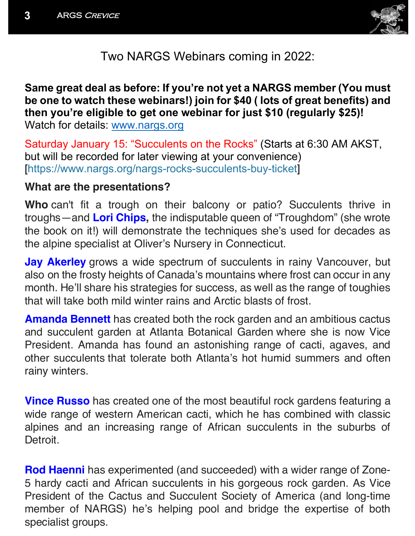

Two NARGS Webinars coming in 2022:

## **Same great deal as before: If you're not yet a NARGS member (You must be one to watch these webinars!) join for \$40 ( lots of great benefits) and then you're eligible to get one webinar for just \$10 (regularly \$25)!**

Watch for details: www.nargs.org

Saturday January 15: "Succulents on the Rocks" (Starts at 6:30 AM AKST, but will be recorded for later viewing at your convenience) [https://www.nargs.org/nargs-rocks-succulents-buy-ticket]

#### **What are the presentations?**

**Who** can't fit a trough on their balcony or patio? Succulents thrive in troughs—and **Lori Chips,** the indisputable queen of "Troughdom" (she wrote the book on it!) will demonstrate the techniques she's used for decades as the alpine specialist at Oliver's Nursery in Connecticut.

**Jay Akerley** grows a wide spectrum of succulents in rainy Vancouver, but also on the frosty heights of Canada's mountains where frost can occur in any month. He'll share his strategies for success, as well as the range of toughies that will take both mild winter rains and Arctic blasts of frost.

**Amanda Bennett** has created both the rock garden and an ambitious cactus and succulent garden at Atlanta Botanical Garden where she is now Vice President. Amanda has found an astonishing range of cacti, agaves, and other succulents that tolerate both Atlanta's hot humid summers and often rainy winters.

**Vince Russo** has created one of the most beautiful rock gardens featuring a wide range of western American cacti, which he has combined with classic alpines and an increasing range of African succulents in the suburbs of **Detroit** 

**Rod Haenni** has experimented (and succeeded) with a wider range of Zone-5 hardy cacti and African succulents in his gorgeous rock garden. As Vice President of the Cactus and Succulent Society of America (and long-time member of NARGS) he's helping pool and bridge the expertise of both specialist groups.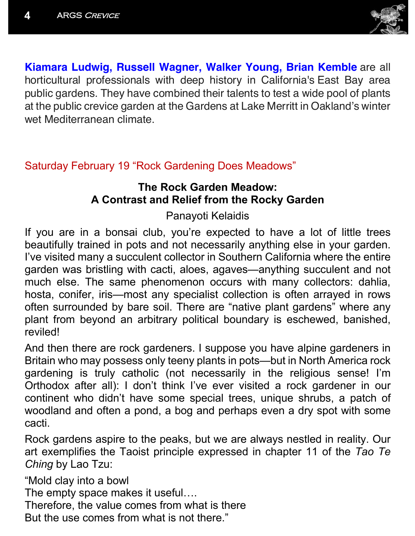

**Kiamara Ludwig, Russell Wagner, Walker Young, Brian Kemble** are all horticultural professionals with deep history in California's East Bay area public gardens. They have combined their talents to test a wide pool of plants at the public crevice garden at the Gardens at Lake Merritt in Oakland's winter wet Mediterranean climate.

### Saturday February 19 "Rock Gardening Does Meadows"

### **The Rock Garden Meadow: A Contrast and Relief from the Rocky Garden**

Panayoti Kelaidis

If you are in a bonsai club, you're expected to have a lot of little trees beautifully trained in pots and not necessarily anything else in your garden. I've visited many a succulent collector in Southern California where the entire garden was bristling with cacti, aloes, agaves—anything succulent and not much else. The same phenomenon occurs with many collectors: dahlia, hosta, conifer, iris—most any specialist collection is often arrayed in rows often surrounded by bare soil. There are "native plant gardens" where any plant from beyond an arbitrary political boundary is eschewed, banished, reviled!

And then there are rock gardeners. I suppose you have alpine gardeners in Britain who may possess only teeny plants in pots—but in North America rock gardening is truly catholic (not necessarily in the religious sense! I'm Orthodox after all): I don't think I've ever visited a rock gardener in our continent who didn't have some special trees, unique shrubs, a patch of woodland and often a pond, a bog and perhaps even a dry spot with some cacti.

Rock gardens aspire to the peaks, but we are always nestled in reality. Our art exemplifies the Taoist principle expressed in chapter 11 of the *Tao Te Ching* by Lao Tzu:

"Mold clay into a bowl

The empty space makes it useful….

Therefore, the value comes from what is there

But the use comes from what is not there."